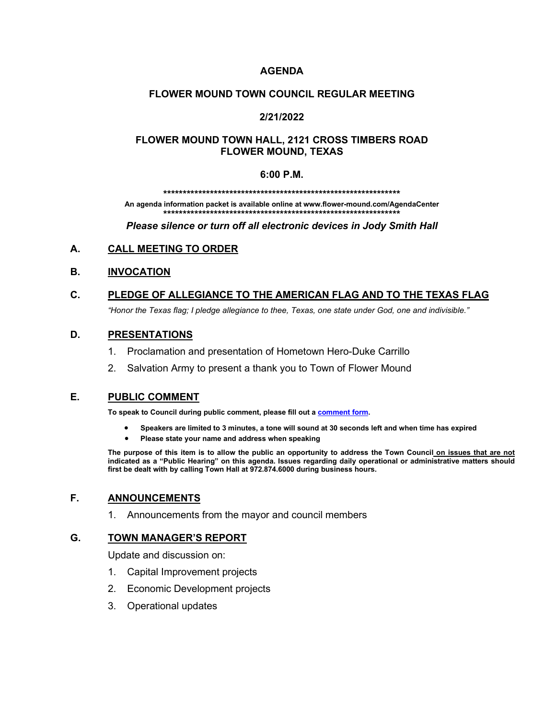## **AGENDA**

## **FLOWER MOUND TOWN COUNCIL REGULAR MEETING**

## **2/21/2022**

## **FLOWER MOUND TOWN HALL, 2121 CROSS TIMBERS ROAD FLOWER MOUND, TEXAS**

#### **6:00 P.M.**

**\*\*\*\*\*\*\*\*\*\*\*\*\*\*\*\*\*\*\*\*\*\*\*\*\*\*\*\*\*\*\*\*\*\*\*\*\*\*\*\*\*\*\*\*\*\*\*\*\*\*\*\*\*\*\*\*\*\*\*\*\***

**An agenda information packet is available online at www.flower-mound.com/AgendaCenter \*\*\*\*\*\*\*\*\*\*\*\*\*\*\*\*\*\*\*\*\*\*\*\*\*\*\*\*\*\*\*\*\*\*\*\*\*\*\*\*\*\*\*\*\*\*\*\*\*\*\*\*\*\*\*\*\*\*\*\*\***

*Please silence or turn off all electronic devices in Jody Smith Hall*

## **A. CALL MEETING TO ORDER**

## **B. INVOCATION**

# **C. PLEDGE OF ALLEGIANCE TO THE AMERICAN FLAG AND TO THE TEXAS FLAG**

*"Honor the Texas flag; I pledge allegiance to thee, Texas, one state under God, one and indivisible."*

## **D. PRESENTATIONS**

- 1. Proclamation and presentation of Hometown Hero-Duke Carrillo
- 2. Salvation Army to present a thank you to Town of Flower Mound

### **E. PUBLIC COMMENT**

**To speak to Council during public comment, please fill out a [comment form.](https://www.flower-mound.com/DocumentCenter/View/10425)** 

- **Speakers are limited to 3 minutes, a tone will sound at 30 seconds left and when time has expired**
- **Please state your name and address when speaking**

**The purpose of this item is to allow the public an opportunity to address the Town Council on issues that are not indicated as a "Public Hearing" on this agenda. Issues regarding daily operational or administrative matters should first be dealt with by calling Town Hall at 972.874.6000 during business hours.**

### **F. ANNOUNCEMENTS**

1. Announcements from the mayor and council members

### **G. TOWN MANAGER'S REPORT**

Update and discussion on:

- 1. Capital Improvement projects
- 2. Economic Development projects
- 3. Operational updates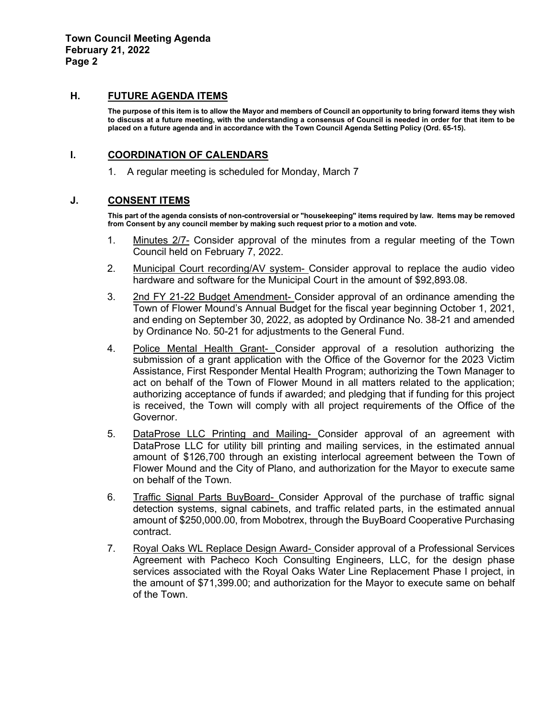#### **H. FUTURE AGENDA ITEMS**

**The purpose of this item is to allow the Mayor and members of Council an opportunity to bring forward items they wish to discuss at a future meeting, with the understanding a consensus of Council is needed in order for that item to be placed on a future agenda and in accordance with the Town Council Agenda Setting Policy (Ord. 65-15).**

### **I. COORDINATION OF CALENDARS**

1. A regular meeting is scheduled for Monday, March 7

#### **J. CONSENT ITEMS**

**This part of the agenda consists of non-controversial or "housekeeping" items required by law. Items may be removed from Consent by any council member by making such request prior to a motion and vote.** 

- 1. Minutes 2/7- Consider approval of the minutes from a regular meeting of the Town Council held on February 7, 2022.
- 2. Municipal Court recording/AV system- Consider approval to replace the audio video hardware and software for the Municipal Court in the amount of \$92,893.08.
- 3. 2nd FY 21-22 Budget Amendment- Consider approval of an ordinance amending the Town of Flower Mound's Annual Budget for the fiscal year beginning October 1, 2021, and ending on September 30, 2022, as adopted by Ordinance No. 38-21 and amended by Ordinance No. 50-21 for adjustments to the General Fund.
- 4. Police Mental Health Grant- Consider approval of a resolution authorizing the submission of a grant application with the Office of the Governor for the 2023 Victim Assistance, First Responder Mental Health Program; authorizing the Town Manager to act on behalf of the Town of Flower Mound in all matters related to the application; authorizing acceptance of funds if awarded; and pledging that if funding for this project is received, the Town will comply with all project requirements of the Office of the Governor.
- 5. DataProse LLC Printing and Mailing- Consider approval of an agreement with DataProse LLC for utility bill printing and mailing services, in the estimated annual amount of \$126,700 through an existing interlocal agreement between the Town of Flower Mound and the City of Plano, and authorization for the Mayor to execute same on behalf of the Town.
- 6. Traffic Signal Parts BuyBoard- Consider Approval of the purchase of traffic signal detection systems, signal cabinets, and traffic related parts, in the estimated annual amount of \$250,000.00, from Mobotrex, through the BuyBoard Cooperative Purchasing contract.
- 7. Royal Oaks WL Replace Design Award- Consider approval of a Professional Services Agreement with Pacheco Koch Consulting Engineers, LLC, for the design phase services associated with the Royal Oaks Water Line Replacement Phase I project, in the amount of \$71,399.00; and authorization for the Mayor to execute same on behalf of the Town.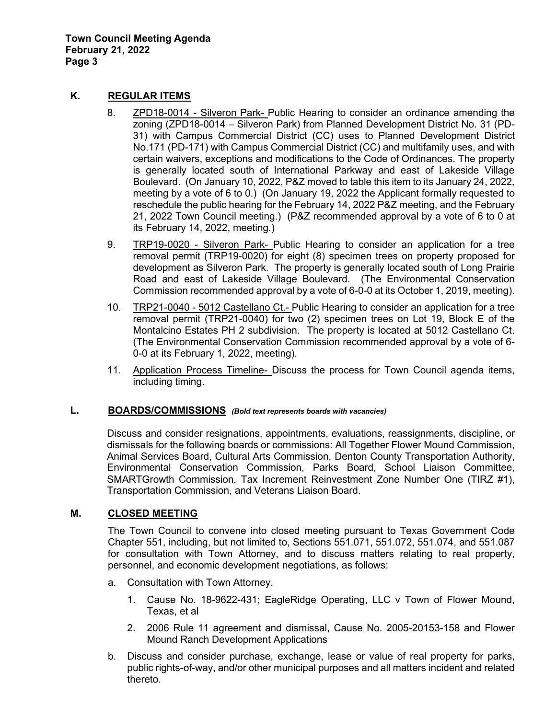## **K. REGULAR ITEMS**

- 8. ZPD18-0014 Silveron Park- Public Hearing to consider an ordinance amending the zoning (ZPD18-0014 – Silveron Park) from Planned Development District No. 31 (PD-31) with Campus Commercial District (CC) uses to Planned Development District No.171 (PD-171) with Campus Commercial District (CC) and multifamily uses, and with certain waivers, exceptions and modifications to the Code of Ordinances. The property is generally located south of International Parkway and east of Lakeside Village Boulevard. (On January 10, 2022, P&Z moved to table this item to its January 24, 2022, meeting by a vote of 6 to 0.) (On January 19, 2022 the Applicant formally requested to reschedule the public hearing for the February 14, 2022 P&Z meeting, and the February 21, 2022 Town Council meeting.) (P&Z recommended approval by a vote of 6 to 0 at its February 14, 2022, meeting.)
- 9. TRP19-0020 Silveron Park- Public Hearing to consider an application for a tree removal permit (TRP19-0020) for eight (8) specimen trees on property proposed for development as Silveron Park. The property is generally located south of Long Prairie Road and east of Lakeside Village Boulevard. (The Environmental Conservation Commission recommended approval by a vote of 6-0-0 at its October 1, 2019, meeting).
- 10. TRP21-0040 5012 Castellano Ct.- Public Hearing to consider an application for a tree removal permit (TRP21-0040) for two (2) specimen trees on Lot 19, Block E of the Montalcino Estates PH 2 subdivision. The property is located at 5012 Castellano Ct. (The Environmental Conservation Commission recommended approval by a vote of 6- 0-0 at its February 1, 2022, meeting).
- 11. Application Process Timeline- Discuss the process for Town Council agenda items, including timing.

### **L. BOARDS/COMMISSIONS** *(Bold text represents boards with vacancies)*

Discuss and consider resignations, appointments, evaluations, reassignments, discipline, or dismissals for the following boards or commissions: All Together Flower Mound Commission, Animal Services Board, Cultural Arts Commission, Denton County Transportation Authority, Environmental Conservation Commission, Parks Board, School Liaison Committee, SMARTGrowth Commission, Tax Increment Reinvestment Zone Number One (TIRZ #1), Transportation Commission, and Veterans Liaison Board.

# **M. CLOSED MEETING**

The Town Council to convene into closed meeting pursuant to Texas Government Code Chapter 551, including, but not limited to, Sections 551.071, 551.072, 551.074, and 551.087 for consultation with Town Attorney, and to discuss matters relating to real property, personnel, and economic development negotiations, as follows:

- a. Consultation with Town Attorney.
	- 1. Cause No. 18-9622-431; EagleRidge Operating, LLC v Town of Flower Mound, Texas, et al
	- 2. 2006 Rule 11 agreement and dismissal, Cause No. 2005-20153-158 and Flower Mound Ranch Development Applications
- b. Discuss and consider purchase, exchange, lease or value of real property for parks, public rights-of-way, and/or other municipal purposes and all matters incident and related thereto.